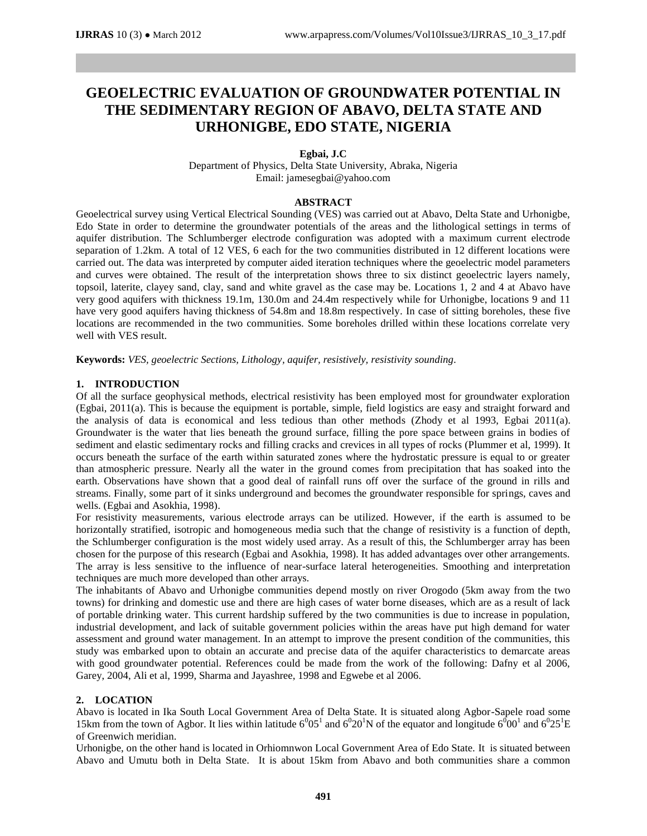# **GEOELECTRIC EVALUATION OF GROUNDWATER POTENTIAL IN THE SEDIMENTARY REGION OF ABAVO, DELTA STATE AND URHONIGBE, EDO STATE, NIGERIA**

### **Egbai, J.C**

Department of Physics, Delta State University, Abraka, Nigeria Email: [jamesegbai@yahoo.com](mailto:jamesegbai@yahoo.com)

#### **ABSTRACT**

Geoelectrical survey using Vertical Electrical Sounding (VES) was carried out at Abavo, Delta State and Urhonigbe, Edo State in order to determine the groundwater potentials of the areas and the lithological settings in terms of aquifer distribution. The Schlumberger electrode configuration was adopted with a maximum current electrode separation of 1.2km. A total of 12 VES, 6 each for the two communities distributed in 12 different locations were carried out. The data was interpreted by computer aided iteration techniques where the geoelectric model parameters and curves were obtained. The result of the interpretation shows three to six distinct geoelectric layers namely, topsoil, laterite, clayey sand, clay, sand and white gravel as the case may be. Locations 1, 2 and 4 at Abavo have very good aquifers with thickness 19.1m, 130.0m and 24.4m respectively while for Urhonigbe, locations 9 and 11 have very good aquifers having thickness of 54.8m and 18.8m respectively. In case of sitting boreholes, these five locations are recommended in the two communities. Some boreholes drilled within these locations correlate very well with VES result.

**Keywords:** *VES, geoelectric Sections, Lithology, aquifer, resistively, resistivity sounding.*

#### **1. INTRODUCTION**

Of all the surface geophysical methods, electrical resistivity has been employed most for groundwater exploration (Egbai, 2011(a). This is because the equipment is portable, simple, field logistics are easy and straight forward and the analysis of data is economical and less tedious than other methods (Zhody et al 1993, Egbai 2011(a). Groundwater is the water that lies beneath the ground surface, filling the pore space between grains in bodies of sediment and elastic sedimentary rocks and filling cracks and crevices in all types of rocks (Plummer et al, 1999). It occurs beneath the surface of the earth within saturated zones where the hydrostatic pressure is equal to or greater than atmospheric pressure. Nearly all the water in the ground comes from precipitation that has soaked into the earth. Observations have shown that a good deal of rainfall runs off over the surface of the ground in rills and streams. Finally, some part of it sinks underground and becomes the groundwater responsible for springs, caves and wells. (Egbai and Asokhia, 1998).

For resistivity measurements, various electrode arrays can be utilized. However, if the earth is assumed to be horizontally stratified, isotropic and homogeneous media such that the change of resistivity is a function of depth, the Schlumberger configuration is the most widely used array. As a result of this, the Schlumberger array has been chosen for the purpose of this research (Egbai and Asokhia, 1998). It has added advantages over other arrangements. The array is less sensitive to the influence of near-surface lateral heterogeneities. Smoothing and interpretation techniques are much more developed than other arrays.

The inhabitants of Abavo and Urhonigbe communities depend mostly on river Orogodo (5km away from the two towns) for drinking and domestic use and there are high cases of water borne diseases, which are as a result of lack of portable drinking water. This current hardship suffered by the two communities is due to increase in population, industrial development, and lack of suitable government policies within the areas have put high demand for water assessment and ground water management. In an attempt to improve the present condition of the communities, this study was embarked upon to obtain an accurate and precise data of the aquifer characteristics to demarcate areas with good groundwater potential. References could be made from the work of the following: Dafny et al 2006, Garey, 2004, Ali et al, 1999, Sharma and Jayashree, 1998 and Egwebe et al 2006.

#### **2. LOCATION**

Abavo is located in Ika South Local Government Area of Delta State. It is situated along Agbor-Sapele road some 15km from the town of Agbor. It lies within latitude  $6^005^1$  and  $6^020^1$ N of the equator and longitude  $6^000^1$  and  $6^025^1$ E of Greenwich meridian.

Urhonigbe, on the other hand is located in Orhiomnwon Local Government Area of Edo State. It is situated between Abavo and Umutu both in Delta State. It is about 15km from Abavo and both communities share a common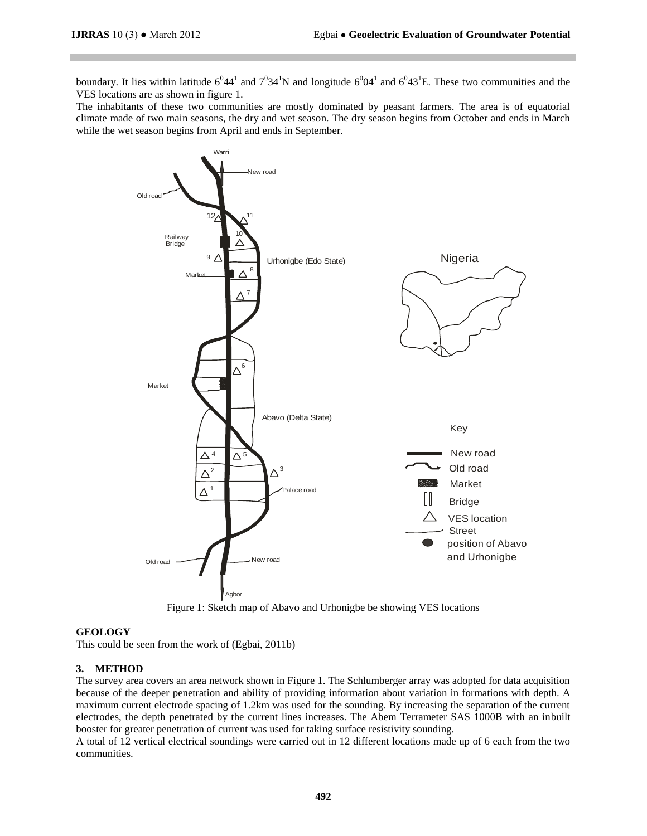boundary. It lies within latitude  $6^0 44^1$  and  $7^0 34^1$ N and longitude  $6^0 04^1$  and  $6^0 43^1$ E. These two communities and the VES locations are as shown in figure 1.

The inhabitants of these two communities are mostly dominated by peasant farmers. The area is of equatorial climate made of two main seasons, the dry and wet season. The dry season begins from October and ends in March while the wet season begins from April and ends in September.



Figure 1: Sketch map of Abavo and Urhonigbe be showing VES locations

#### **GEOLOGY**

This could be seen from the work of (Egbai, 2011b)

### **3. METHOD**

The survey area covers an area network shown in Figure 1. The Schlumberger array was adopted for data acquisition because of the deeper penetration and ability of providing information about variation in formations with depth. A maximum current electrode spacing of 1.2km was used for the sounding. By increasing the separation of the current electrodes, the depth penetrated by the current lines increases. The Abem Terrameter SAS 1000B with an inbuilt booster for greater penetration of current was used for taking surface resistivity sounding.

A total of 12 vertical electrical soundings were carried out in 12 different locations made up of 6 each from the two communities.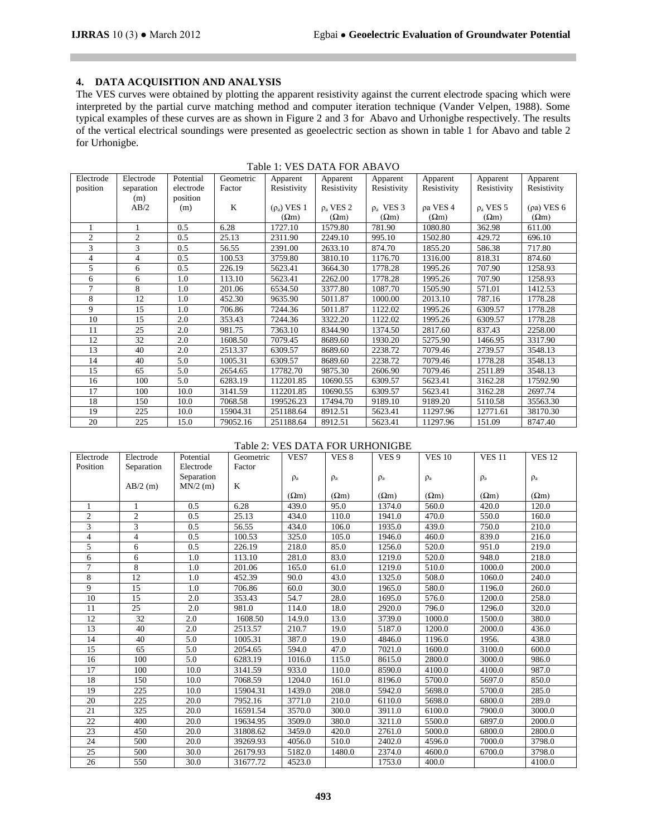## **4. DATA ACQUISITION AND ANALYSIS**

The VES curves were obtained by plotting the apparent resistivity against the current electrode spacing which were interpreted by the partial curve matching method and computer iteration technique (Vander Velpen, 1988). Some typical examples of these curves are as shown in Figure 2 and 3 for Abavo and Urhonigbe respectively. The results of the vertical electrical soundings were presented as geoelectric section as shown in table 1 for Abavo and table 2 for Urhonigbe.

| Electrode      | Electrode      | Potential | Geometric | Apparent         | Apparent       | Apparent       | Apparent     | Apparent       | Apparent     |
|----------------|----------------|-----------|-----------|------------------|----------------|----------------|--------------|----------------|--------------|
| position       | separation     | electrode | Factor    | Resistivity      | Resistivity    | Resistivity    | Resistivity  | Resistivity    | Resistivity  |
|                | (m)            | position  |           |                  |                |                |              |                |              |
|                | AB/2           | (m)       | K         | $(\rho_a)$ VES 1 | $\rho_a$ VES 2 | $\rho_a$ VES 3 | ρa VES 4     | $\rho_a$ VES 5 | (pa) VES 6   |
|                |                |           |           | $(\Omega m)$     | $(\Omega m)$   | $(\Omega m)$   | $(\Omega m)$ | $(\Omega m)$   | $(\Omega m)$ |
|                |                | 0.5       | 6.28      | 1727.10          | 1579.80        | 781.90         | 1080.80      | 362.98         | 611.00       |
| $\overline{c}$ | $\overline{c}$ | 0.5       | 25.13     | 2311.90          | 2249.10        | 995.10         | 1502.80      | 429.72         | 696.10       |
| 3              | 3              | 0.5       | 56.55     | 2391.00          | 2633.10        | 874.70         | 1855.20      | 586.38         | 717.80       |
| 4              | 4              | 0.5       | 100.53    | 3759.80          | 3810.10        | 1176.70        | 1316.00      | 818.31         | 874.60       |
| 5              | 6              | 0.5       | 226.19    | 5623.41          | 3664.30        | 1778.28        | 1995.26      | 707.90         | 1258.93      |
| 6              | 6              | 1.0       | 113.10    | 5623.41          | 2262.00        | 1778.28        | 1995.26      | 707.90         | 1258.93      |
| 7              | 8              | 1.0       | 201.06    | 6534.50          | 3377.80        | 1087.70        | 1505.90      | 571.01         | 1412.53      |
| 8              | 12             | 1.0       | 452.30    | 9635.90          | 5011.87        | 1000.00        | 2013.10      | 787.16         | 1778.28      |
| 9              | 15             | 1.0       | 706.86    | 7244.36          | 5011.87        | 1122.02        | 1995.26      | 6309.57        | 1778.28      |
| 10             | 15             | 2.0       | 353.43    | 7244.36          | 3322.20        | 1122.02        | 1995.26      | 6309.57        | 1778.28      |
| 11             | 25             | 2.0       | 981.75    | 7363.10          | 8344.90        | 1374.50        | 2817.60      | 837.43         | 2258.00      |
| 12             | 32             | 2.0       | 1608.50   | 7079.45          | 8689.60        | 1930.20        | 5275.90      | 1466.95        | 3317.90      |
| 13             | 40             | 2.0       | 2513.37   | 6309.57          | 8689.60        | 2238.72        | 7079.46      | 2739.57        | 3548.13      |
| 14             | 40             | 5.0       | 1005.31   | 6309.57          | 8689.60        | 2238.72        | 7079.46      | 1778.28        | 3548.13      |
| 15             | 65             | 5.0       | 2654.65   | 17782.70         | 9875.30        | 2606.90        | 7079.46      | 2511.89        | 3548.13      |
| 16             | 100            | 5.0       | 6283.19   | 112201.85        | 10690.55       | 6309.57        | 5623.41      | 3162.28        | 17592.90     |
| 17             | 100            | 10.0      | 3141.59   | 112201.85        | 10690.55       | 6309.57        | 5623.41      | 3162.28        | 2697.74      |
| 18             | 150            | 10.0      | 7068.58   | 199526.23        | 17494.70       | 9189.10        | 9189.20      | 5110.58        | 35563.30     |
| 19             | 225            | 10.0      | 15904.31  | 251188.64        | 8912.51        | 5623.41        | 11297.96     | 12771.61       | 38170.30     |
| 20             | 225            | 15.0      | 79052.16  | 251188.64        | 8912.51        | 5623.41        | 11297.96     | 151.09         | 8747.40      |

|  |  |  |  | Table 1: VES DATA FOR ABAVO |
|--|--|--|--|-----------------------------|
|--|--|--|--|-----------------------------|

#### Table 2: VES DATA FOR URHONIGBE

| Electrode | Electrode      | Potential  | Geometric | VES7         | VES <sub>8</sub> | VES <sub>9</sub> | <b>VES 10</b> | <b>VES 11</b> | <b>VES 12</b> |
|-----------|----------------|------------|-----------|--------------|------------------|------------------|---------------|---------------|---------------|
| Position  | Separation     | Electrode  | Factor    |              |                  |                  |               |               |               |
|           |                | Separation |           | $\rho_a$     | $\rho_a$         | $\rho_a$         | $\rho_a$      | $\rho_a$      | $\rho_a$      |
|           | $AB/2$ (m)     | $MN/2$ (m) | $\bf K$   |              |                  |                  |               |               |               |
|           |                |            |           | $(\Omega m)$ | $(\Omega m)$     | $(\Omega m)$     | $(\Omega m)$  | $(\Omega m)$  | $(\Omega m)$  |
| 1         | 1              | 0.5        | 6.28      | 439.0        | 95.0             | 1374.0           | 560.0         | 420.0         | 120.0         |
| 2         | 2              | 0.5        | 25.13     | 434.0        | 110.0            | 1941.0           | 470.0         | 550.0         | 160.0         |
| 3         | $\overline{3}$ | 0.5        | 56.55     | 434.0        | 106.0            | 1935.0           | 439.0         | 750.0         | 210.0         |
| 4         | 4              | 0.5        | 100.53    | 325.0        | 105.0            | 1946.0           | 460.0         | 839.0         | 216.0         |
| 5         | 6              | 0.5        | 226.19    | 218.0        | 85.0             | 1256.0           | 520.0         | 951.0         | 219.0         |
| 6         | 6              | 1.0        | 113.10    | 281.0        | 83.0             | 1219.0           | 520.0         | 948.0         | 218.0         |
| $\tau$    | 8              | 1.0        | 201.06    | 165.0        | 61.0             | 1219.0           | 510.0         | 1000.0        | 200.0         |
| 8         | 12             | 1.0        | 452.39    | 90.0         | 43.0             | 1325.0           | 508.0         | 1060.0        | 240.0         |
| 9         | 15             | 1.0        | 706.86    | 60.0         | 30.0             | 1965.0           | 580.0         | 1196.0        | 260.0         |
| 10        | 15             | 2.0        | 353.43    | 54.7         | 28.0             | 1695.0           | 576.0         | 1200.0        | 258.0         |
| 11        | 25             | 2.0        | 981.0     | 114.0        | 18.0             | 2920.0           | 796.0         | 1296.0        | 320.0         |
| 12        | 32             | 2.0        | 1608.50   | 14.9.0       | 13.0             | 3739.0           | 1000.0        | 1500.0        | 380.0         |
| 13        | 40             | 2.0        | 2513.57   | 210.7        | 19.0             | 5187.0           | 1200.0        | 2000.0        | 436.0         |
| 14        | 40             | 5.0        | 1005.31   | 387.0        | 19.0             | 4846.0           | 1196.0        | 1956.         | 438.0         |
| 15        | 65             | 5.0        | 2054.65   | 594.0        | 47.0             | 7021.0           | 1600.0        | 3100.0        | 600.0         |
| 16        | 100            | 5.0        | 6283.19   | 1016.0       | 115.0            | 8615.0           | 2800.0        | 3000.0        | 986.0         |
| 17        | 100            | 10.0       | 3141.59   | 933.0        | 110.0            | 8590.0           | 4100.0        | 4100.0        | 987.0         |
| 18        | 150            | 10.0       | 7068.59   | 1204.0       | 161.0            | 8196.0           | 5700.0        | 5697.0        | 850.0         |
| 19        | 225            | 10.0       | 15904.31  | 1439.0       | 208.0            | 5942.0           | 5698.0        | 5700.0        | 285.0         |
| 20        | 225            | 20.0       | 7952.16   | 3771.0       | 210.0            | 6110.0           | 5698.0        | 6800.0        | 289.0         |
| 21        | 325            | 20.0       | 16591.54  | 3570.0       | 300.0            | 3911.0           | 6100.0        | 7900.0        | 3000.0        |
| 22        | 400            | 20.0       | 19634.95  | 3509.0       | 380.0            | 3211.0           | 5500.0        | 6897.0        | 2000.0        |
| 23        | 450            | 20.0       | 31808.62  | 3459.0       | 420.0            | 2761.0           | 5000.0        | 6800.0        | 2800.0        |
| 24        | 500            | 20.0       | 39269.93  | 4056.0       | 510.0            | 2402.0           | 4596.0        | 7000.0        | 3798.0        |
| 25        | 500            | 30.0       | 26179.93  | 5182.0       | 1480.0           | 2374.0           | 4600.0        | 6700.0        | 3798.0        |
| 26        | 550            | 30.0       | 31677.72  | 4523.0       |                  | 1753.0           | 400.0         |               | 4100.0        |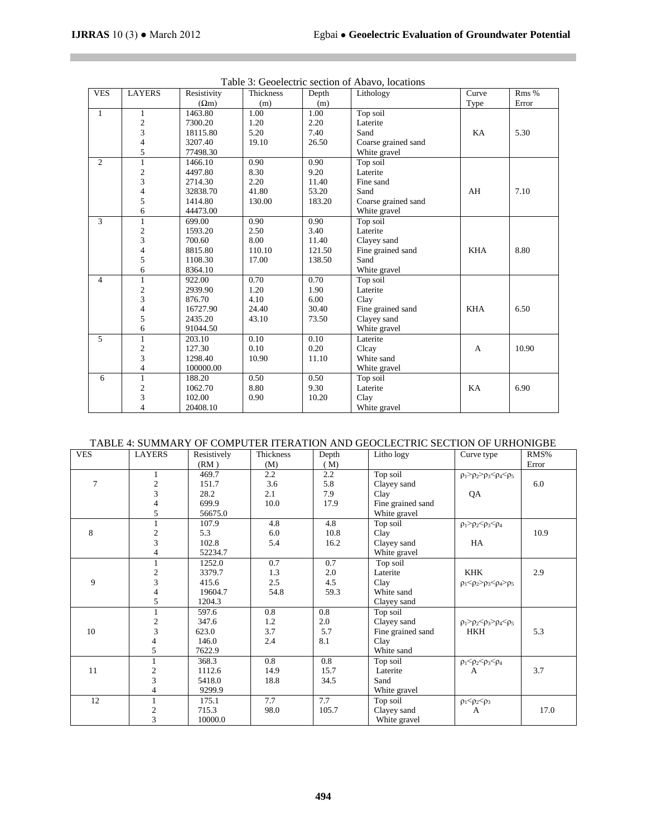**Contract Contract** 

| <b>VES</b>   | <b>LAYERS</b>            | Resistivity  | Thickness | Depth  | Lithology           | Curve      | Rms % |
|--------------|--------------------------|--------------|-----------|--------|---------------------|------------|-------|
|              |                          | $(\Omega m)$ | (m)       | (m)    |                     | Type       | Error |
| $\mathbf{1}$ | 1                        | 1463.80      | 1.00      | 1.00   | Top soil            |            |       |
|              | $\boldsymbol{2}$         | 7300.20      | 1.20      | 2.20   | Laterite            |            |       |
|              | $\overline{\mathbf{3}}$  | 18115.80     | 5.20      | 7.40   | Sand                | KA         | 5.30  |
|              | 4                        | 3207.40      | 19.10     | 26.50  | Coarse grained sand |            |       |
|              | 5                        | 77498.30     |           |        | White gravel        |            |       |
| 2            | $\mathbf{1}$             | 1466.10      | 0.90      | 0.90   | Top soil            |            |       |
|              | $\mathfrak{2}$           | 4497.80      | 8.30      | 9.20   | Laterite            |            |       |
|              | $\overline{3}$           | 2714.30      | 2.20      | 11.40  | Fine sand           |            |       |
|              | $\overline{4}$           | 32838.70     | 41.80     | 53.20  | Sand                | AH         | 7.10  |
|              | 5                        | 1414.80      | 130.00    | 183.20 | Coarse grained sand |            |       |
|              | 6                        | 44473.00     |           |        | White gravel        |            |       |
| 3            | $\mathbf{1}$             | 699.00       | 0.90      | 0.90   | Top soil            |            |       |
|              | $\boldsymbol{2}$         | 1593.20      | 2.50      | 3.40   | Laterite            |            |       |
|              | $\overline{\mathbf{3}}$  | 700.60       | 8.00      | 11.40  | Clayey sand         |            |       |
|              | $\overline{\mathcal{L}}$ | 8815.80      | 110.10    | 121.50 | Fine grained sand   | <b>KHA</b> | 8.80  |
|              | 5                        | 1108.30      | 17.00     | 138.50 | Sand                |            |       |
|              | 6                        | 8364.10      |           |        | White gravel        |            |       |
| 4            | $\mathbf{1}$             | 922.00       | 0.70      | 0.70   | Top soil            |            |       |
|              | $\boldsymbol{2}$         | 2939.90      | 1.20      | 1.90   | Laterite            |            |       |
|              | 3                        | 876.70       | 4.10      | 6.00   | Clay                |            |       |
|              | $\overline{4}$           | 16727.90     | 24.40     | 30.40  | Fine grained sand   | <b>KHA</b> | 6.50  |
|              | 5                        | 2435.20      | 43.10     | 73.50  | Clayey sand         |            |       |
|              | 6                        | 91044.50     |           |        | White gravel        |            |       |
| 5            | $\mathbf{1}$             | 203.10       | 0.10      | 0.10   | Laterite            |            |       |
|              | $\frac{2}{3}$            | 127.30       | 0.10      | 0.20   | Clcay               | A          | 10.90 |
|              |                          | 1298.40      | 10.90     | 11.10  | White sand          |            |       |
|              | $\overline{4}$           | 100000.00    |           |        | White gravel        |            |       |
| 6            | $\mathbf{1}$             | 188.20       | 0.50      | 0.50   | Top soil            |            |       |
|              | $\boldsymbol{2}$         | 1062.70      | 8.80      | 9.30   | Laterite            | KA         | 6.90  |
|              | 3                        | 102.00       | 0.90      | 10.20  | Clay                |            |       |
|              | $\overline{4}$           | 20408.10     |           |        | White gravel        |            |       |

|  | Table 3: Geoelectric section of Abavo, locations |  |  |  |
|--|--------------------------------------------------|--|--|--|
|--|--------------------------------------------------|--|--|--|

## TABLE 4: SUMMARY OF COMPUTER ITERATION AND GEOCLECTRIC SECTION OF URHONIGBE

| <b>VES</b>     | <b>LAYERS</b>            | Resistively | Thickness        | Depth | Litho logy        | Curve type                                   | RMS%  |
|----------------|--------------------------|-------------|------------------|-------|-------------------|----------------------------------------------|-------|
|                |                          | (RM)        | (M)              | (M)   |                   |                                              | Error |
|                | $\mathbf{1}$             | 469.7       | 2.2              | 2.2   | Top soil          | $\rho_1 > \rho_2 > \rho_3 < \rho_4 < \rho_5$ |       |
| $\overline{7}$ | $\frac{2}{3}$            | 151.7       | 3.6              | 5.8   | Clayey sand       |                                              | 6.0   |
|                |                          | 28.2        | 2.1              | 7.9   | Clay              | QA                                           |       |
|                | $\overline{4}$           | 699.9       | 10.0             | 17.9  | Fine grained sand |                                              |       |
|                | 5                        | 56675.0     |                  |       | White gravel      |                                              |       |
|                | 1                        | 107.9       | 4.8              | 4.8   | Top soil          | $\rho_1 > \rho_2 < \rho_3 < \rho_4$          |       |
| 8              | $\frac{2}{3}$            | 5.3         | 6.0              | 10.8  | Clay              |                                              | 10.9  |
|                |                          | 102.8       | 5.4              | 16.2  | Clayey sand       | HA                                           |       |
|                | $\overline{4}$           | 52234.7     |                  |       | White gravel      |                                              |       |
|                | $\mathbf{1}$             | 1252.0      | 0.7              | 0.7   | Top soil          |                                              |       |
|                | $\sqrt{2}$               | 3379.7      | 1.3              | 2.0   | Laterite          | <b>KHK</b>                                   | 2.9   |
| 9              | $\overline{\mathbf{3}}$  | 415.6       | 2.5              | 4.5   | Clay              | $\rho_1 < \rho_2 > \rho_3 < \rho_4 > \rho_5$ |       |
|                | $\overline{4}$           | 19604.7     | 54.8             | 59.3  | White sand        |                                              |       |
|                | 5                        | 1204.3      |                  |       | Clayey sand       |                                              |       |
|                | $\mathbf{1}$             | 597.6       | 0.8              | 0.8   | Top soil          |                                              |       |
|                | $\frac{2}{3}$            | 347.6       | 1.2              | 2.0   | Clayey sand       | $\rho_1 > \rho_2 < \rho_3 > \rho_4 < \rho_5$ |       |
| 10             |                          | 623.0       | 3.7              | 5.7   | Fine grained sand | <b>HKH</b>                                   | 5.3   |
|                | $\overline{\mathcal{L}}$ | 146.0       | 2.4              | 8.1   | Clay              |                                              |       |
|                | 5                        | 7622.9      |                  |       | White sand        |                                              |       |
|                | $\mathbf{1}$             | 368.3       | $\overline{0.8}$ | 0.8   | Top soil          | $\rho_1 < \rho_2 < \rho_3 < \rho_4$          |       |
| 11             |                          | 1112.6      | 14.9             | 15.7  | Laterite          | A                                            | 3.7   |
|                | $\frac{2}{3}$            | 5418.0      | 18.8             | 34.5  | Sand              |                                              |       |
|                | $\overline{\mathcal{L}}$ | 9299.9      |                  |       | White gravel      |                                              |       |
| 12             |                          | 175.1       | 7.7              | 7.7   | Top soil          | $\rho_1 < \rho_2 < \rho_3$                   |       |
|                |                          | 715.3       | 98.0             | 105.7 | Clayey sand       | А                                            | 17.0  |
|                | $\frac{2}{3}$            | 10000.0     |                  |       | White gravel      |                                              |       |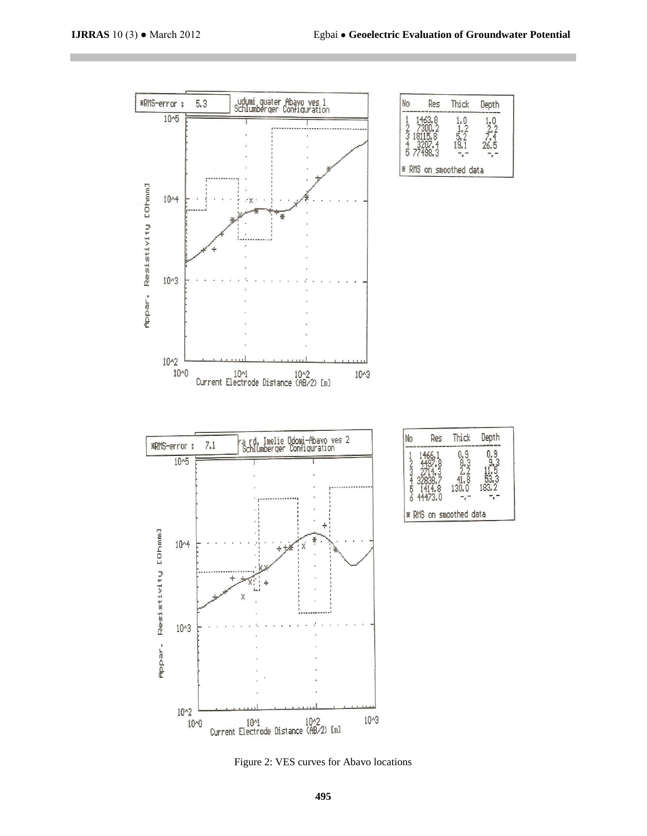

Figure 2: VES curves for Abavo locations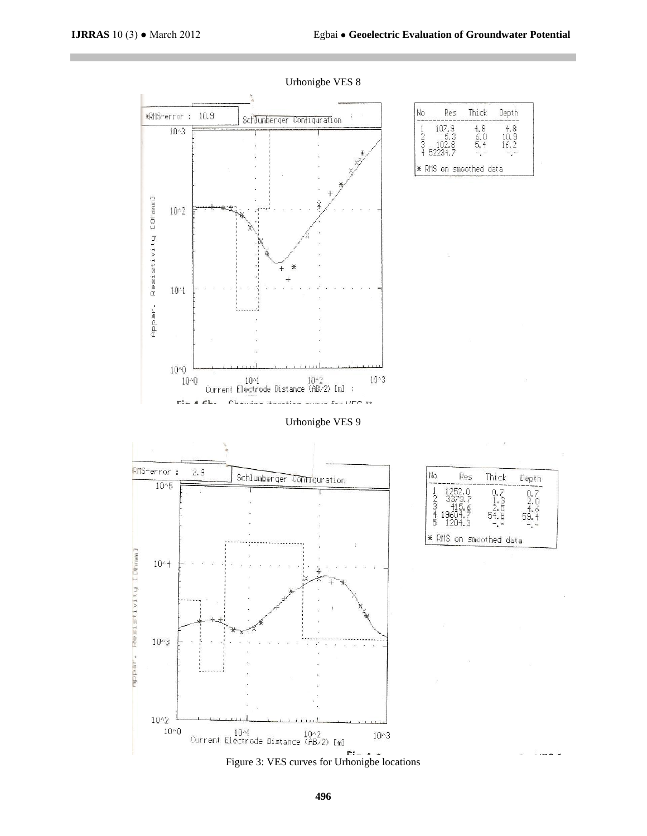No

 $1 - 25$ 

ř

Res

÷. \* RMS on smoothed data

Thick

Q,

1

 $54.8$ 

Depth

 $0.24$ 

 $5\frac{4}{3}$ . 4

 $- - -$ 



Urhonigbe VES 8

Figure 3: VES curves for Urhonigbe locations

1043

No Res Thick Depth  $\begin{array}{c} 4.8 \\ 10.9 \\ 16.2 \end{array}$  $107.9$ 4,8  $1 - 20$ 6.<br>5. 52234 \* RMS on smoothed data

 $\begin{array}{ll} 10{\uparrow}1 & 10{\uparrow}2 \\ \text{Current Electrode Distance (AB/2) [m]} \end{array}$ 

 $10^{\circ}0$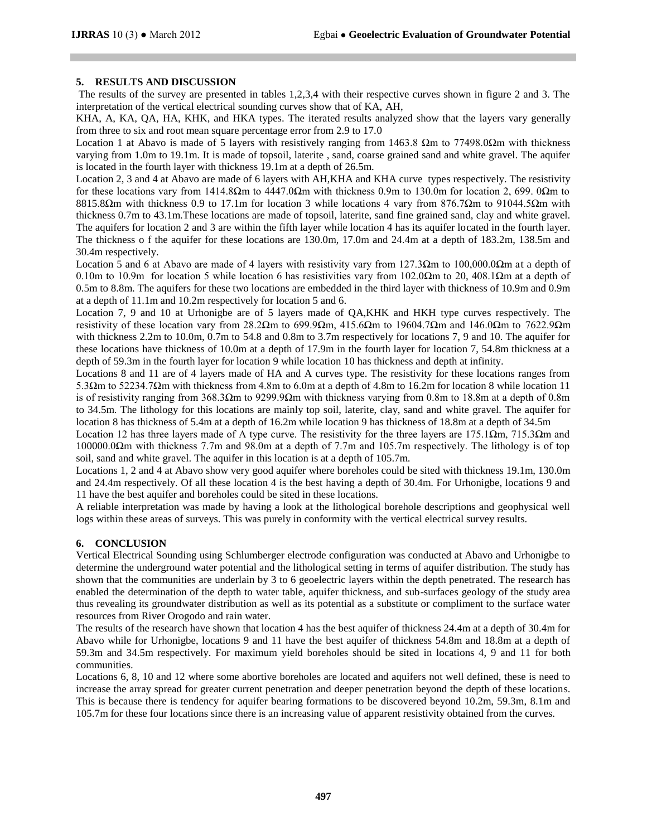### **5. RESULTS AND DISCUSSION**

The results of the survey are presented in tables 1,2,3,4 with their respective curves shown in figure 2 and 3. The interpretation of the vertical electrical sounding curves show that of KA, AH,

KHA, A, KA, QA, HA, KHK, and HKA types. The iterated results analyzed show that the layers vary generally from three to six and root mean square percentage error from 2.9 to 17.0

Location 1 at Abavo is made of 5 layers with resistively ranging from 1463.8  $\Omega$ m to 77498.0 $\Omega$ m with thickness varying from 1.0m to 19.1m. It is made of topsoil, laterite , sand, coarse grained sand and white gravel. The aquifer is located in the fourth layer with thickness 19.1m at a depth of 26.5m.

Location 2, 3 and 4 at Abavo are made of 6 layers with AH,KHA and KHA curve types respectively. The resistivity for these locations vary from 1414.8Ωm to 4447.0Ωm with thickness 0.9m to 130.0m for location 2, 699. 0Ωm to 8815.8Ωm with thickness 0.9 to 17.1m for location 3 while locations 4 vary from 876.7Ωm to 91044.5Ωm with thickness 0.7m to 43.1m.These locations are made of topsoil, laterite, sand fine grained sand, clay and white gravel. The aquifers for location 2 and 3 are within the fifth layer while location 4 has its aquifer located in the fourth layer. The thickness o f the aquifer for these locations are 130.0m, 17.0m and 24.4m at a depth of 183.2m, 138.5m and 30.4m respectively.

Location 5 and 6 at Abavo are made of 4 layers with resistivity vary from 127.3Ωm to 100,000.0Ωm at a depth of 0.10m to 10.9m for location 5 while location 6 has resistivities vary from 102.0 $\Omega$ m to 20, 408.1 $\Omega$ m at a depth of 0.5m to 8.8m. The aquifers for these two locations are embedded in the third layer with thickness of 10.9m and 0.9m at a depth of 11.1m and 10.2m respectively for location 5 and 6.

Location 7, 9 and 10 at Urhonigbe are of 5 layers made of QA,KHK and HKH type curves respectively. The resistivity of these location vary from 28.2Ωm to 699.9Ωm, 415.6Ωm to 19604.7Ωm and 146.0Ωm to 7622.9Ωm with thickness 2.2m to 10.0m, 0.7m to 54.8 and 0.8m to 3.7m respectively for locations 7, 9 and 10. The aquifer for these locations have thickness of 10.0m at a depth of 17.9m in the fourth layer for location 7, 54.8m thickness at a depth of 59.3m in the fourth layer for location 9 while location 10 has thickness and depth at infinity.

Locations 8 and 11 are of 4 layers made of HA and A curves type. The resistivity for these locations ranges from 5.3Ωm to 52234.7Ωm with thickness from 4.8m to 6.0m at a depth of 4.8m to 16.2m for location 8 while location 11 is of resistivity ranging from 368.3 $\Omega$ m to 9299.9 $\Omega$ m with thickness varying from 0.8m to 18.8m at a depth of 0.8m to 34.5m. The lithology for this locations are mainly top soil, laterite, clay, sand and white gravel. The aquifer for location 8 has thickness of 5.4m at a depth of 16.2m while location 9 has thickness of 18.8m at a depth of 34.5m

Location 12 has three layers made of A type curve. The resistivity for the three layers are 175.1Ωm, 715.3Ωm and 100000.0Ωm with thickness 7.7m and 98.0m at a depth of 7.7m and 105.7m respectively. The lithology is of top soil, sand and white gravel. The aquifer in this location is at a depth of 105.7m.

Locations 1, 2 and 4 at Abavo show very good aquifer where boreholes could be sited with thickness 19.1m, 130.0m and 24.4m respectively. Of all these location 4 is the best having a depth of 30.4m. For Urhonigbe, locations 9 and 11 have the best aquifer and boreholes could be sited in these locations.

A reliable interpretation was made by having a look at the lithological borehole descriptions and geophysical well logs within these areas of surveys. This was purely in conformity with the vertical electrical survey results.

### **6. CONCLUSION**

Vertical Electrical Sounding using Schlumberger electrode configuration was conducted at Abavo and Urhonigbe to determine the underground water potential and the lithological setting in terms of aquifer distribution. The study has shown that the communities are underlain by 3 to 6 geoelectric layers within the depth penetrated. The research has enabled the determination of the depth to water table, aquifer thickness, and sub-surfaces geology of the study area thus revealing its groundwater distribution as well as its potential as a substitute or compliment to the surface water resources from River Orogodo and rain water.

The results of the research have shown that location 4 has the best aquifer of thickness 24.4m at a depth of 30.4m for Abavo while for Urhonigbe, locations 9 and 11 have the best aquifer of thickness 54.8m and 18.8m at a depth of 59.3m and 34.5m respectively. For maximum yield boreholes should be sited in locations 4, 9 and 11 for both communities.

Locations 6, 8, 10 and 12 where some abortive boreholes are located and aquifers not well defined, these is need to increase the array spread for greater current penetration and deeper penetration beyond the depth of these locations. This is because there is tendency for aquifer bearing formations to be discovered beyond 10.2m, 59.3m, 8.1m and 105.7m for these four locations since there is an increasing value of apparent resistivity obtained from the curves.